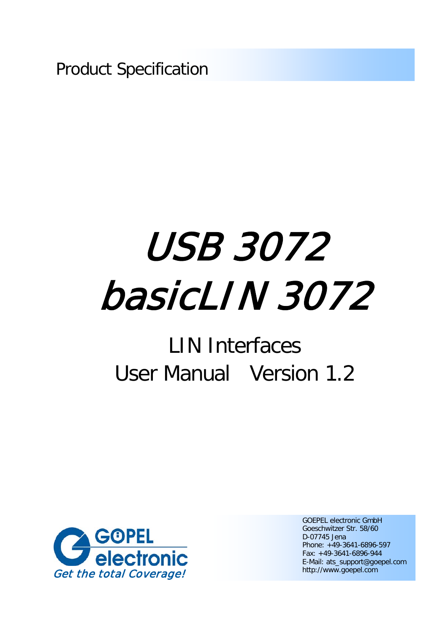Product Specification

# USB 3072 basicLIN 3072

# LIN Interfaces User Manual Version 1.2



GOEPEL electronic GmbH Goeschwitzer Str. 58/60 D-07745 Jena Phone: +49-3641-6896-597 Fax: +49-3641-6896-944 E-Mail: ats\_support@goepel.com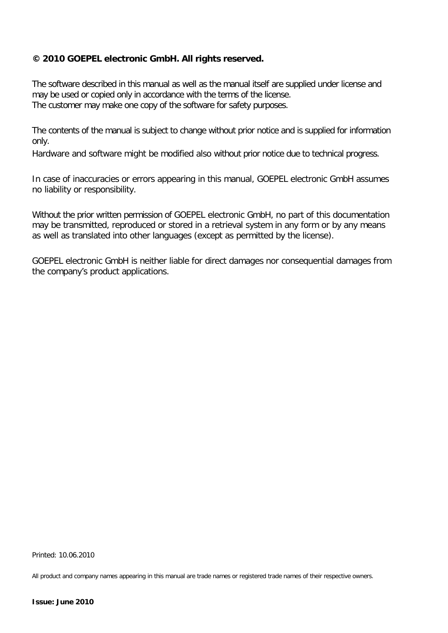### **© 2010 GOEPEL electronic GmbH. All rights reserved.**

The software described in this manual as well as the manual itself are supplied under license and may be used or copied only in accordance with the terms of the license. The customer may make one copy of the software for safety purposes.

The contents of the manual is subject to change without prior notice and is supplied for information only.

Hardware and software might be modified also without prior notice due to technical progress.

In case of inaccuracies or errors appearing in this manual, GOEPEL electronic GmbH assumes no liability or responsibility.

Without the prior written permission of GOEPEL electronic GmbH, no part of this documentation may be transmitted, reproduced or stored in a retrieval system in any form or by any means as well as translated into other languages (except as permitted by the license).

GOEPEL electronic GmbH is neither liable for direct damages nor consequential damages from the company's product applications.

Printed: 10.06.2010

All product and company names appearing in this manual are trade names or registered trade names of their respective owners.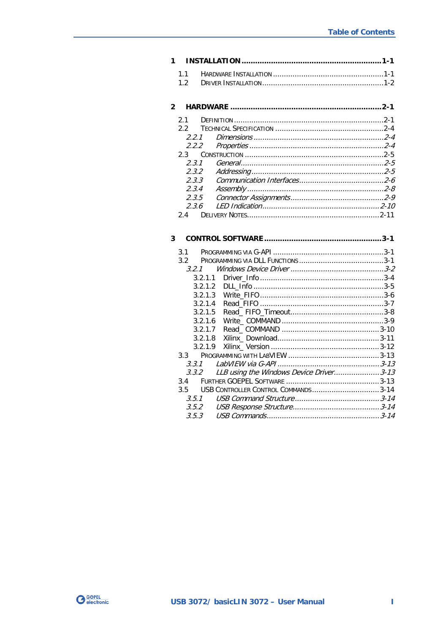# 

| 2.3.1 |  |
|-------|--|
|       |  |
| 2.3.3 |  |
| 2.3.4 |  |
| 2.3.5 |  |
| 2.3.6 |  |
|       |  |

# 

| 31            |                                          |  |
|---------------|------------------------------------------|--|
| $3.2^{\circ}$ |                                          |  |
| 3.2.1         |                                          |  |
| 3.2.1.1       |                                          |  |
| 3.2.1.2       |                                          |  |
| 3.2.1.3       |                                          |  |
| 3.2.1.4       |                                          |  |
| 3.2.1.5       |                                          |  |
| 3.2.1.6       |                                          |  |
| 3.2.1.7       |                                          |  |
| 3.2.1.8       |                                          |  |
| 3.2.1.9       |                                          |  |
|               |                                          |  |
| 3.3.1         |                                          |  |
| 3.3.2         | LLB using the Windows Device Driver 3-13 |  |
| 3.4           |                                          |  |
| $3.5 -$       | USB CONTROLLER CONTROL COMMANDS3-14      |  |
| 3.5.1         |                                          |  |
| 3.5.2         |                                          |  |
| 3.5.3         |                                          |  |
|               |                                          |  |

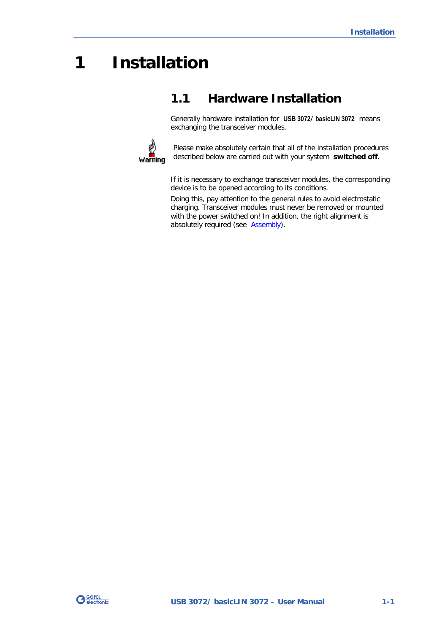# <span id="page-4-0"></span>**1 Installation**

# <span id="page-4-1"></span>**1.1 Hardware Installation**

Generally hardware installation for **USB 3072**/ **basicLIN 3072** means exchanging the transceiver modules.



Please make absolutely certain that all of the installation procedures described below are carried out with your system **switched off**.

If it is necessary to exchange transceiver modules, the corresponding device is to be opened according to its conditions.

Doing this, pay attention to the general rules to avoid electrostatic charging. Transceiver modules must never be removed or mounted with the power switched on! In addition, the right alignment is absolutely required (see **Assembly**).

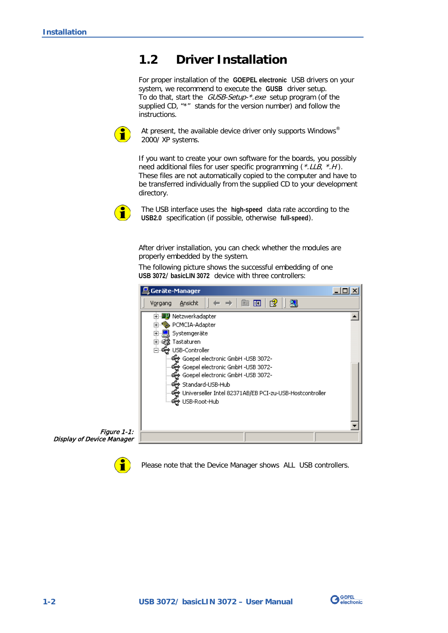# <span id="page-5-2"></span><span id="page-5-0"></span>**1.2 Driver Installation**

For proper installation of the **GOEPEL electronic** USB drivers on your system, we recommend to execute the **GUSB** driver setup. To do that, start the GUSB-Setup-\*.exe setup program (of the supplied CD, "\*" stands for the version number) and follow the instructions.



At present, the available device driver only supports Windows<sup>®</sup> 2000/ XP systems.

If you want to create your own software for the boards, you possibly need additional files for user specific programming (\*.LLB, \*.H). These files are not automatically copied to the computer and have to be transferred individually from the supplied CD to your development directory.



The USB interface uses the **high-speed** data rate according to the **USB2.0** specification (if possible, otherwise **full-speed**).

After driver installation, you can check whether the modules are properly embedded by the system.

The following picture shows the successful embedding of one **USB 3072**/ **basicLIN 3072** device with three controllers:



<span id="page-5-1"></span>Figure 1-1: Display of Device Manager

Please note that the Device Manager shows ALL USB controllers.

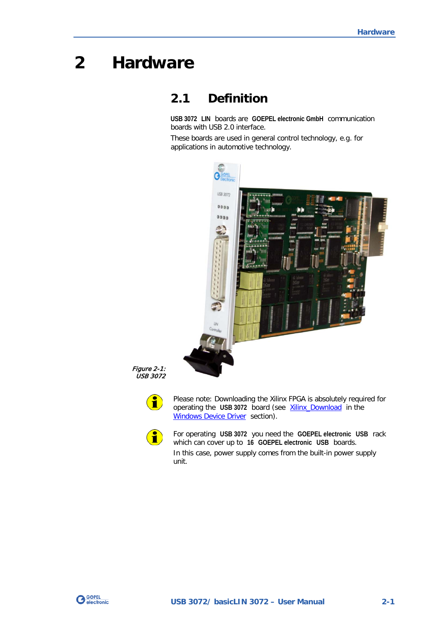# <span id="page-6-0"></span>**2 Hardware**

# <span id="page-6-1"></span>**2.1 Definition**

**USB 3072 LIN** boards are **GOEPEL electronic GmbH** communication boards with USB 2.0 interface.

These boards are used in general control technology, e.g. for applications in automotive technology.



Figure 2-1: USB 3072

 $\textcolor{red}{\textbf{1}}$ 

Please note: Downloading the Xilinx FPGA is absolutely required for operating the USB 3072 board (see **Xilinx\_Download** in the [Windows Device Driver](#page-19-0) section).



For operating **USB 3072** you need the **GOEPEL electronic USB** rack which can cover up to **16 GOEPEL electronic USB** boards. In this case, power supply comes from the built-in power supply unit.

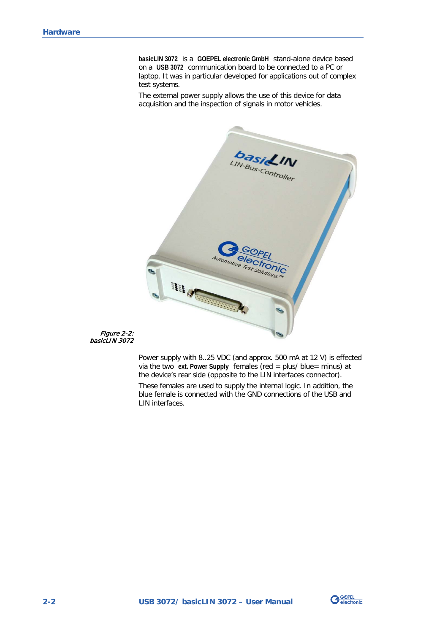**basicLIN 3072** is a **GOEPEL electronic GmbH** stand-alone device based on a **USB 3072** communication board to be connected to a PC or laptop. It was in particular developed for applications out of complex test systems.

The external power supply allows the use of this device for data acquisition and the inspection of signals in motor vehicles.



Figure 2-2: basicLIN 3072

> Power supply with 8..25 VDC (and approx. 500 mA at 12 V) is effected via the two **ext. Power Supply** females (red = plus/ blue= minus) at the device's rear side (opposite to the LIN interfaces connector). These females are used to supply the internal logic. In addition, the blue female is connected with the GND connections of the USB and LIN interfaces.

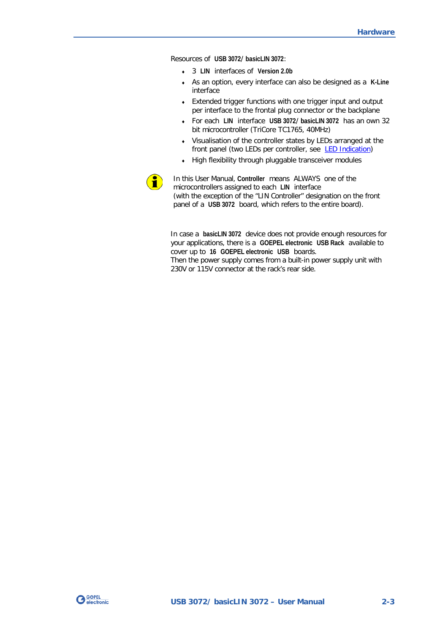Resources of **USB 3072**/ **basicLIN 3072**:

- ♦ 3 **LIN** interfaces of **Version 2.0b**
- ♦ As an option, every interface can also be designed as a **K-Line** interface
- ♦ Extended trigger functions with one trigger input and output per interface to the frontal plug connector or the backplane
- ♦ For each **LIN** interface **USB 3072**/ **basicLIN 3072** has an own 32 bit microcontroller (TriCore TC1765, 40MHz)
- ♦ Visualisation of the controller states by LEDs arranged at the front panel (two LEDs per controller, see [LED Indication\)](#page-15-1)
- ♦ High flexibility through pluggable transceiver modules



In this User Manual, **Controller** means ALWAYS one of the microcontrollers assigned to each **LIN** interface (with the exception of the "LIN Controller" designation on the front panel of a **USB 3072** board, which refers to the entire board).

In case a **basicLIN 3072** device does not provide enough resources for your applications, there is a **GOEPEL electronic USB Rack** available to cover up to **16 GOEPEL electronic USB** boards. Then the power supply comes from a built-in power supply unit with 230V or 115V connector at the rack's rear side.

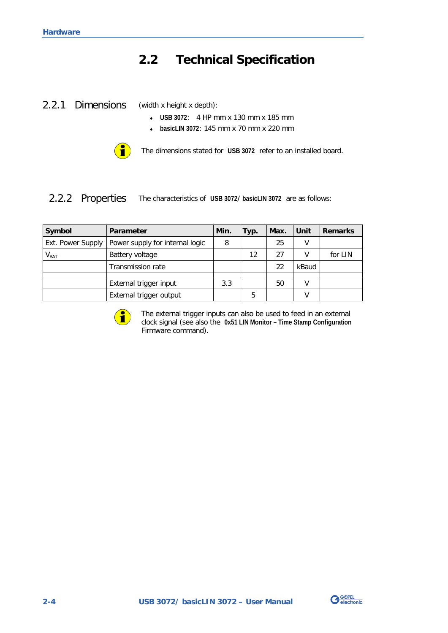# <span id="page-9-0"></span>**2.2 Technical Specification**

<span id="page-9-1"></span>2.2.1 Dimensions

(width x height x depth):

- ♦ **USB 3072**: 4 HP mm x 130 mm x 185 mm
- ♦ **basicLIN 3072**: 145 mm x 70 mm x 220 mm



The dimensions stated for **USB 3072** refer to an installed board.

#### <span id="page-9-2"></span>The characteristics of **USB 3072**/ **basicLIN 3072** are as follows: 2.2.2 Properties

| Symbol            | Parameter                       | Min. | Typ. | Max. | Unit  | <b>Remarks</b> |
|-------------------|---------------------------------|------|------|------|-------|----------------|
| Ext. Power Supply | Power supply for internal logic | 8    |      | 25   | ٧     |                |
| V <sub>BAT</sub>  | Battery voltage                 |      | 12   | 27   | v     | for LIN        |
|                   | <b>Transmission rate</b>        |      |      | 22   | kBaud |                |
|                   | External trigger input          | 3.3  |      | 50   | V     |                |
|                   |                                 |      |      |      |       |                |
|                   | External trigger output         |      | 5    |      | v     |                |



The external trigger inputs can also be used to feed in an external clock signal (see also the **0x51 LIN Monitor – Time Stamp Configuration** Firmware command).

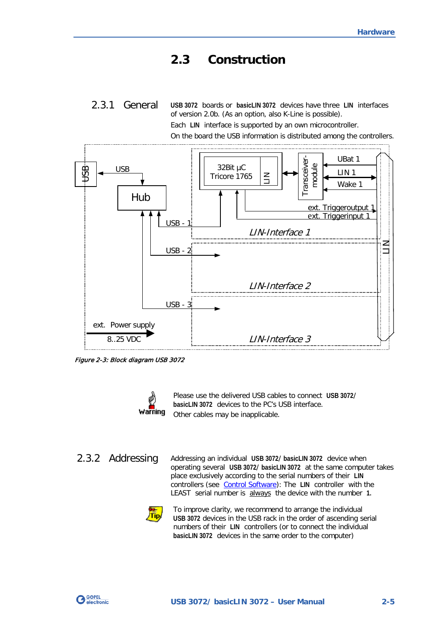# <span id="page-10-0"></span>**2.3 Construction**

<span id="page-10-1"></span>**USB 3072** boards or **basicLIN 3072** devices have three **LIN** interfaces of version 2.0b. (As an option, also K-Line is possible). Each **LIN** interface is supported by an own microcontroller. 2.3.1 General

On the board the USB information is distributed among the controllers.



Figure 2-3: Block diagram USB 3072



Please use the delivered USB cables to connect **USB 3072**/ **basicLIN 3072** devices to the PC's USB interface. Other cables may be inapplicable.

<span id="page-10-2"></span>2.3.2 Addressing

Addressing an individual **USB 3072**/ **basicLIN 3072** device when operating several **USB 3072**/ **basicLIN 3072** at the same computer takes place exclusively according to the serial numbers of their **LIN** controllers (see [Control Software\)](#page-18-0): The **LIN** controller with the LEAST serial number is always the device with the number **1.**



To improve clarity, we recommend to arrange the individual **USB 3072** devices in the USB rack in the order of ascending serial numbers of their **LIN** controllers (or to connect the individual **basicLIN 3072** devices in the same order to the computer)

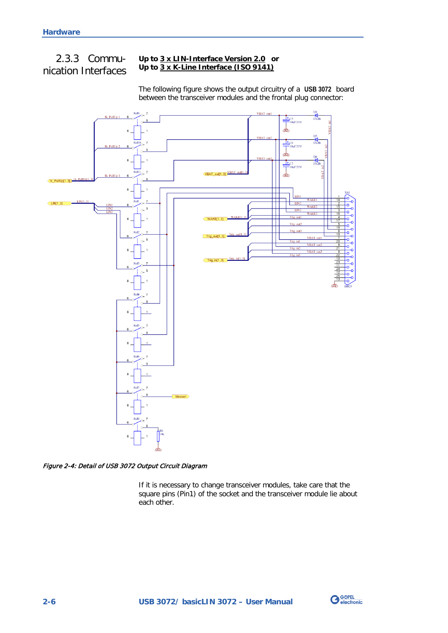# <span id="page-11-0"></span>2.3.3 Communication Interfaces

#### **Up to 3 x LIN-Interface Version 2.0 or Up to 3 x K-Line Interface (ISO 9141)**

The following figure shows the output circuitry of a **USB 3072** board between the transceiver modules and the frontal plug connector:



<span id="page-11-1"></span>Figure 2-4: Detail of USB 3072 Output Circuit Diagram

If it is necessary to change transceiver modules, take care that the square pins (Pin1) of the socket and the transceiver module lie about each other.

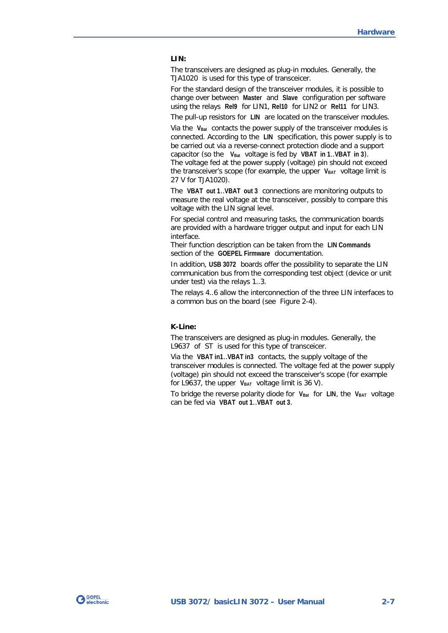#### **LIN:**

The transceivers are designed as plug-in modules. Generally, the TJA1020 is used for this type of transceicer.

For the standard design of the transceiver modules, it is possible to change over between **Master** and **Slave** configuration per software using the relays **Rel9** for LIN1, **Rel10** for LIN2 or **Rel11** for LIN3.

The pull-up resistors for **LIN** are located on the transceiver modules.

Via the V<sub>Bat</sub> contacts the power supply of the transceiver modules is connected. According to the **LIN** specification, this power supply is to be carried out via a reverse-connect protection diode and a support capacitor (so the **VBat** voltage is fed by **VBAT in 1**..**VBAT in 3**). The voltage fed at the power supply (voltage) pin should not exceed the transceiver's scope (for example, the upper V<sub>BAT</sub> voltage limit is 27 V for TJA1020).

The **VBAT out 1**..**VBAT out 3** connections are monitoring outputs to measure the real voltage at the transceiver, possibly to compare this voltage with the LIN signal level.

For special control and measuring tasks, the communication boards are provided with a hardware trigger output and input for each LIN interface.

Their function description can be taken from the **LIN Commands** section of the **GOEPEL Firmware** documentation.

In addition, **USB 3072** boards offer the possibility to separate the LIN communication bus from the corresponding test object (device or unit under test) via the relays 1..3.

The relays 4..6 allow the interconnection of the three LIN interfaces to a common bus on the board (see [Figure 2-4\)](#page-11-1).

#### **K-Line:**

The transceivers are designed as plug-in modules. Generally, the L9637 of ST is used for this type of transceicer.

Via the **VBAT in1**..**VBAT in3** contacts, the supply voltage of the transceiver modules is connected. The voltage fed at the power supply (voltage) pin should not exceed the transceiver's scope (for example for L9637, the upper VBAT voltage limit is 36 V).

To bridge the reverse polarity diode for V<sub>Bat</sub> for LIN, the V<sub>BAT</sub> voltage can be fed via **VBAT out 1**..**VBAT out 3**.

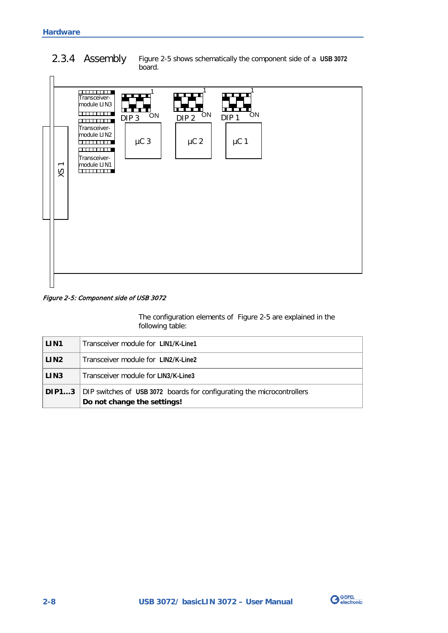#### <span id="page-13-1"></span><span id="page-13-0"></span>[Figure 2-5](#page-13-2) shows schematically the component side of a **USB 3072** board. 2.3.4 Assembly



#### <span id="page-13-2"></span>Figure 2-5: Component side of USB 3072

The configuration elements of [Figure 2-5](#page-13-2) are explained in the following table:

| LIN <sub>1</sub> | Transceiver module for LIN1/K-Line1                                                                                |
|------------------|--------------------------------------------------------------------------------------------------------------------|
| LIN <sub>2</sub> | Transceiver module for LIN2/K-Line2                                                                                |
| LIN <sub>3</sub> | Transceiver module for LIN3/K-Line3                                                                                |
|                  | <b>DIP13</b> DIP switches of USB 3072 boards for configurating the microcontrollers<br>Do not change the settings! |

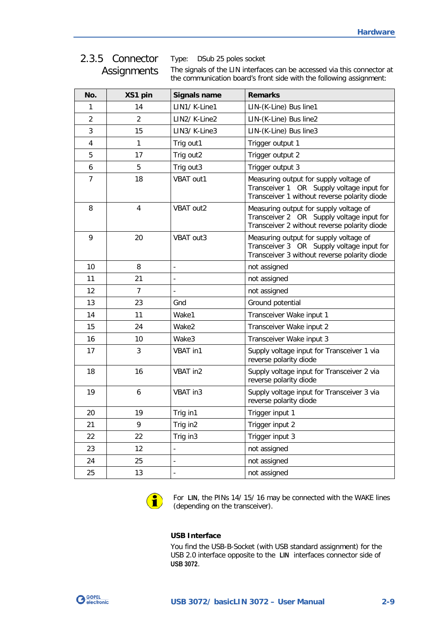## <span id="page-14-0"></span>2.3.5 Connector **Assignments**

Type: DSub 25 poles socket

The signals of the LIN interfaces can be accessed via this connector at the communication board's front side with the following assignment:

| No.                     | XS1 pin        | <b>Signals name</b> | <b>Remarks</b>                                                                                                                      |
|-------------------------|----------------|---------------------|-------------------------------------------------------------------------------------------------------------------------------------|
| 1                       | 14             | LIN1/ K-Line1       | LIN-(K-Line) Bus line1                                                                                                              |
| $\overline{2}$          | $\overline{2}$ | LIN2/ K-Line2       | LIN-(K-Line) Bus line2                                                                                                              |
| 3                       | 15             | LIN3/ K-Line3       | LIN-(K-Line) Bus line3                                                                                                              |
| $\overline{\mathbf{4}}$ | 1              | Trig out1           | Trigger output 1                                                                                                                    |
| 5                       | 17             | Trig out2           | Trigger output 2                                                                                                                    |
| 6                       | 5              | Trig out3           | Trigger output 3                                                                                                                    |
| 7                       | 18             | VBAT out1           | Measuring output for supply voltage of<br>Transceiver 1 OR Supply voltage input for<br>Transceiver 1 without reverse polarity diode |
| 8                       | 4              | VBAT out2           | Measuring output for supply voltage of<br>Transceiver 2 OR Supply voltage input for<br>Transceiver 2 without reverse polarity diode |
| 9                       | 20             | VBAT out3           | Measuring output for supply voltage of<br>Transceiver 3 OR Supply voltage input for<br>Transceiver 3 without reverse polarity diode |
| 10                      | 8              | $\overline{a}$      | not assigned                                                                                                                        |
| 11                      | 21             | $\overline{a}$      | not assigned                                                                                                                        |
| 12                      | $\overline{7}$ |                     | not assigned                                                                                                                        |
| 13                      | 23             | Gnd                 | Ground potential                                                                                                                    |
| 14                      | 11             | Wake1               | Transceiver Wake input 1                                                                                                            |
| 15                      | 24             | Wake2               | Transceiver Wake input 2                                                                                                            |
| 16                      | 10             | Wake3               | Transceiver Wake input 3                                                                                                            |
| 17                      | 3              | VBAT in1            | Supply voltage input for Transceiver 1 via<br>reverse polarity diode                                                                |
| 18                      | 16             | VBAT in2            | Supply voltage input for Transceiver 2 via<br>reverse polarity diode                                                                |
| 19                      | 6              | VBAT in3            | Supply voltage input for Transceiver 3 via<br>reverse polarity diode                                                                |
| 20                      | 19             | Trig in1            | Trigger input 1                                                                                                                     |
| 21                      | 9              | Trig in2            | Trigger input 2                                                                                                                     |
| 22                      | 22             | Trig in3            | Trigger input 3                                                                                                                     |
| 23                      | 12             |                     | not assigned                                                                                                                        |
| 24                      | 25             | ÷,                  | not assigned                                                                                                                        |
| 25                      | 13             | $\overline{a}$      | not assigned                                                                                                                        |



For **LIN**, the PINs 14/ 15/ 16 may be connected with the WAKE lines (depending on the transceiver).

#### **USB Interface**

You find the USB-B-Socket (with USB standard assignment) for the USB 2.0 interface opposite to the **LIN** interfaces connector side of **USB 3072**.

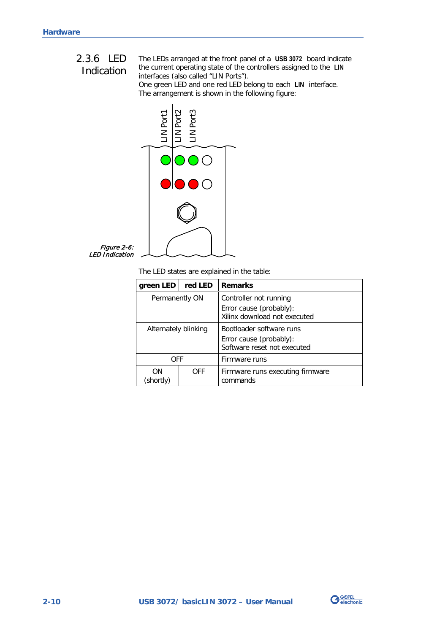# <span id="page-15-0"></span>2.3.6 LED

# Indication

<span id="page-15-1"></span>The LEDs arranged at the front panel of a **USB 3072** board indicate the current operating state of the controllers assigned to the **LIN** interfaces (also called "LIN Ports").

One green LED and one red LED belong to each **LIN** interface. The arrangement is shown in the following figure:



Figure 2-6: LED Indication

The LED states are explained in the table:

| green LED            | red LED | <b>Remarks</b>                                                                     |
|----------------------|---------|------------------------------------------------------------------------------------|
| Permanently ON       |         | Controller not running<br>Error cause (probably):<br>Xilinx download not executed  |
| Alternately blinking |         | Bootloader software runs<br>Error cause (probably):<br>Software reset not executed |
| OFF                  |         | Firmware runs                                                                      |
| ΩN<br>(shortly)      | OFF     | Firmware runs executing firmware<br>commands                                       |

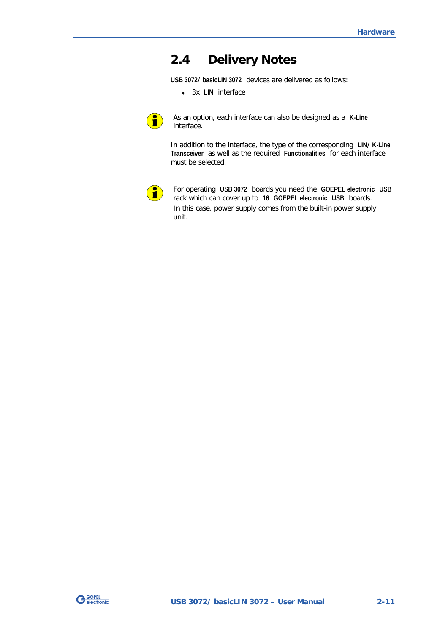# <span id="page-16-0"></span>**2.4 Delivery Notes**

**USB 3072**/ **basicLIN 3072** devices are delivered as follows:

♦ 3x **LIN** interface



As an option, each interface can also be designed as a **K-Line** interface.

In addition to the interface, the type of the corresponding **LIN**/ **K-Line Transceiver** as well as the required **Functionalities** for each interface must be selected.



For operating **USB 3072** boards you need the **GOEPEL electronic USB** rack which can cover up to **16 GOEPEL electronic USB** boards. In this case, power supply comes from the built-in power supply unit.

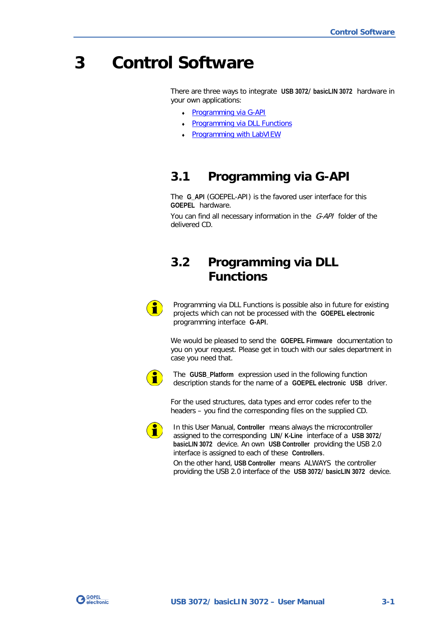# <span id="page-18-0"></span>**3 Control Software**

There are three ways to integrate **USB 3072**/ **basicLIN 3072** hardware in your own applications:

- ♦ [Programming via G-API](#page-18-1)
- Programming via DLL Functions
- **Programming with LabVIEW**

# <span id="page-18-1"></span>**3.1 Programming via G-API**

The **G\_API** (GOEPEL-API) is the favored user interface for this **GOEPEL** hardware.

You can find all necessary information in the G-API folder of the delivered CD.

# <span id="page-18-2"></span>**3.2 Programming via DLL Functions**



Programming via DLL Functions is possible also in future for existing projects which can not be processed with the **GOEPEL electronic** programming interface **G-API**.

We would be pleased to send the **GOEPEL Firmware** documentation to you on your request. Please get in touch with our sales department in case you need that.



The **GUSB\_Platform** expression used in the following function description stands for the name of a **GOEPEL electronic USB** driver.

For the used structures, data types and error codes refer to the headers – you find the corresponding files on the supplied CD.



In this User Manual, **Controller** means always the microcontroller assigned to the corresponding **LIN**/ **K-Line** interface of a **USB 3072**/ **basicLIN 3072** device. An own **USB Controller** providing the USB 2.0 interface is assigned to each of these **Controllers**.

On the other hand, **USB Controller** means ALWAYS the controller providing the USB 2.0 interface of the **USB 3072**/ **basicLIN 3072** device.

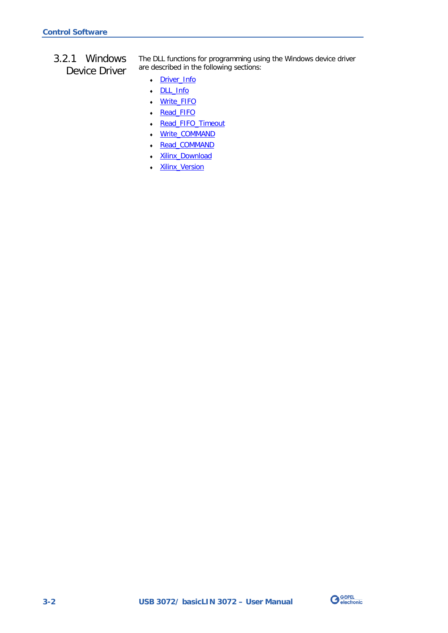<span id="page-19-0"></span>3.2.1 Windows Device Driver The DLL functions for programming using the Windows device driver are described in the following sections:

- ♦ [Driver\\_Info](#page-21-1)
- ♦ [DLL\\_Info](#page-22-1)
- ♦ [Write\\_FIFO](#page-23-1)
- ♦ [Read\\_FIFO](#page-24-1)
- ♦ [Read\\_FIFO\\_Timeout](#page-25-1)
- ♦ [Write\\_COMMAND](#page-26-1)
- Read\_COMMAND
- Xilinx\_Download
- ♦ [Xilinx\\_Version](#page-29-1)

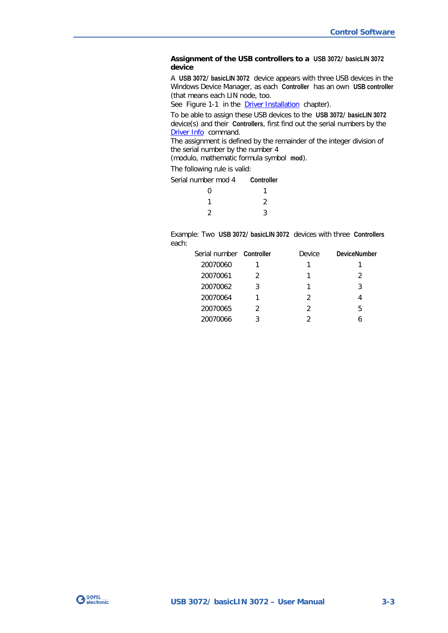#### **Assignment of the USB controllers to a USB 3072**/ **basicLIN 3072 device**

A **USB 3072**/ **basicLIN 3072** device appears with three USB devices in the Windows Device Manager, as each **Controller** has an own **USB controller** (that means each LIN node, too.

See [Figure 1-1](#page-5-1) in the **Driver Installation** chapter).

To be able to assign these USB devices to the **USB 3072**/ **basicLIN 3072** device(s) and their **Controllers**, first find out the serial numbers by the [Driver Info](#page-21-1) command.

The assignment is defined by the remainder of the integer division of the serial number by the number 4

(modulo, mathematic formula symbol **mod**).

The following rule is valid:

Serial number mod 4 **Controller**

| $\overline{0}$ | 1              |
|----------------|----------------|
| $\mathbf{1}$   | $\overline{2}$ |
| 2              | $\mathbf{3}$   |

Example: Two **USB 3072**/ **basicLIN 3072** devices with three **Controllers** each:

| Serial number Controller |   | Device        | <b>DeviceNumber</b> |
|--------------------------|---|---------------|---------------------|
| 20070060                 |   |               |                     |
| 20070061                 |   |               | 2                   |
| 20070062                 | 3 |               | 3                   |
| 20070064                 |   | $\mathcal{P}$ |                     |
| 20070065                 |   | 2             | 5                   |
| 20070066                 |   |               |                     |

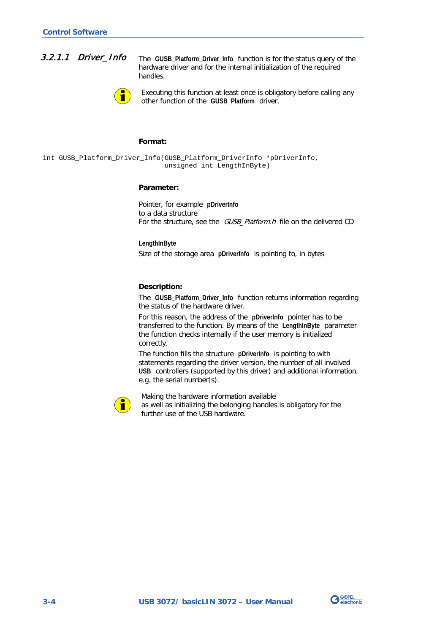<span id="page-21-0"></span>

<span id="page-21-1"></span>The **GUSB\_Platform\_Driver\_Info** function is for the status query of the hardware driver and for the internal initialization of the required handles.



Executing this function at least once is obligatory before calling any other function of the **GUSB\_Platform** driver.

#### **Format:**

int GUSB\_Platform\_Driver\_Info(GUSB\_Platform\_DriverInfo \*pDriverInfo, unsigned int LengthInByte)

#### **Parameter:**

Pointer, for example **pDriverInfo** to a data structure For the structure, see the GUSB Platform.h file on the delivered CD

**LengthInByte** Size of the storage area **pDriverInfo** is pointing to, in bytes

#### **Description:**

The **GUSB\_Platform\_Driver\_Info** function returns information regarding the status of the hardware driver.

For this reason, the address of the **pDriverInfo** pointer has to be transferred to the function. By means of the **LengthInByte** parameter the function checks internally if the user memory is initialized correctly.

The function fills the structure **pDriverInfo** is pointing to with statements regarding the driver version, the number of all involved **USB** controllers (supported by this driver) and additional information, e.g. the serial number(s).



Making the hardware information available as well as initializing the belonging handles is obligatory for the further use of the USB hardware.

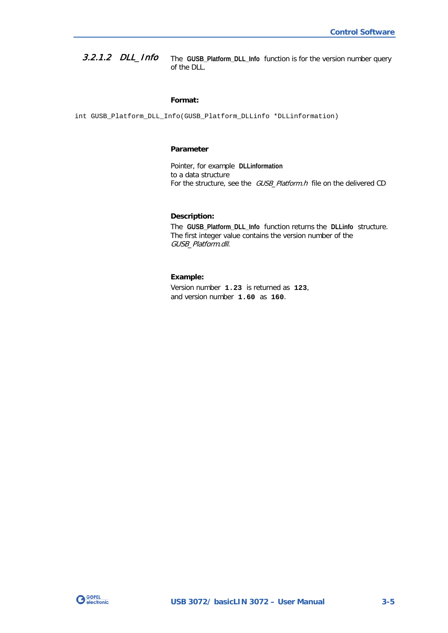<span id="page-22-0"></span>The **GUSB\_Platform\_DLL\_Info** function is for the version number query of the DLL. 3.2.1.2 DLL\_Info

#### <span id="page-22-1"></span>**Format:**

int GUSB\_Platform\_DLL\_Info(GUSB\_Platform\_DLLinfo \*DLLinformation)

#### **Parameter**

Pointer, for example **DLLinformation** to a data structure For the structure, see the GUSB\_Platform.h file on the delivered CD

#### **Description:**

The **GUSB\_Platform\_DLL\_Info** function returns the **DLLinfo** structure. The first integer value contains the version number of the GUSB\_Platform.dll.

#### **Example:**

Version number **1.23** is returned as **123**, and version number **1.60** as **160**.

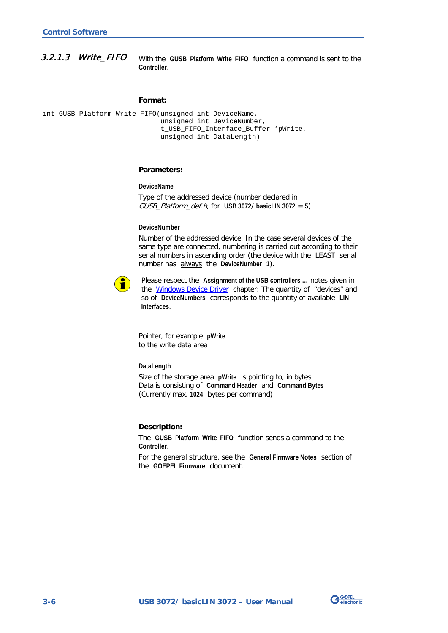<span id="page-23-0"></span>With the **GUSB\_Platform\_Write\_FIFO** function a command is sent to the **Controller**. 3.2.1.3 Write\_FIFO

#### <span id="page-23-1"></span>**Format:**

int GUSB\_Platform\_Write\_FIFO(unsigned int DeviceName, unsigned int DeviceNumber, t\_USB\_FIFO\_Interface\_Buffer \*pWrite, unsigned int DataLength)

#### **Parameters:**

**DeviceName**

Type of the addressed device (number declared in GUSB\_Platform\_def.h, for **USB 3072**/ **basicLIN 3072** = **5**)

#### **DeviceNumber**

Number of the addressed device. In the case several devices of the same type are connected, numbering is carried out according to their serial numbers in ascending order (the device with the LEAST serial number has always the **DeviceNumber 1**).



Please respect the **Assignment of the USB controllers …** notes given in the **Windows Device Driver** chapter: The quantity of "devices" and so of **DeviceNumbers** corresponds to the quantity of available **LIN Interfaces**.

Pointer, for example **pWrite** to the write data area

#### **DataLength**

Size of the storage area **pWrite** is pointing to, in bytes Data is consisting of **Command Header** and **Command Bytes** (Currently max. **1024** bytes per command)

#### **Description:**

The **GUSB\_Platform\_Write\_FIFO** function sends a command to the **Controller**.

For the general structure, see the **General Firmware Notes** section of the **GOEPEL Firmware** document.

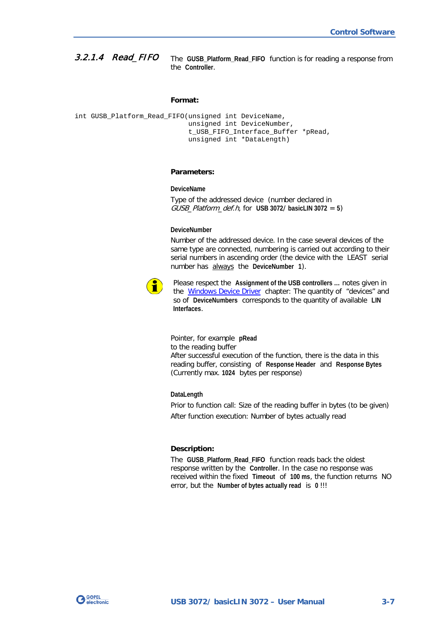<span id="page-24-0"></span>The **GUSB\_Platform\_Read\_FIFO** function is for reading a response from the **Controller**. 3.2.1.4 Read\_FIFO

#### <span id="page-24-1"></span>**Format:**

```
int GUSB Platform Read FIFO(unsigned int DeviceName,
                 unsigned int DeviceNumber,
                t_USB_FIFO_Interface_Buffer *pRead,
                unsigned int *DataLength)
```
#### **Parameters:**

#### **DeviceName**

Type of the addressed device (number declared in GUSB\_Platform\_def.h, for **USB 3072**/ **basicLIN 3072** = **5**)

#### **DeviceNumber**

Number of the addressed device. In the case several devices of the same type are connected, numbering is carried out according to their serial numbers in ascending order (the device with the LEAST serial number has always the **DeviceNumber 1**).



Please respect the **Assignment of the USB controllers …** notes given in the [Windows Device Driver](#page-19-0) chapter: The quantity of "devices" and so of **DeviceNumbers** corresponds to the quantity of available **LIN Interfaces**.

Pointer, for example **pRead** to the reading buffer After successful execution of the function, there is the data in this reading buffer, consisting of **Response Header** and **Response Bytes** (Currently max. **1024** bytes per response)

**DataLength**

Prior to function call: Size of the reading buffer in bytes (to be given) After function execution: Number of bytes actually read

#### **Description:**

The **GUSB Platform Read FIFO** function reads back the oldest response written by the **Controller**. In the case no response was received within the fixed **Timeout** of **100 ms**, the function returns NO error, but the **Number of bytes actually read** is **0** !!!

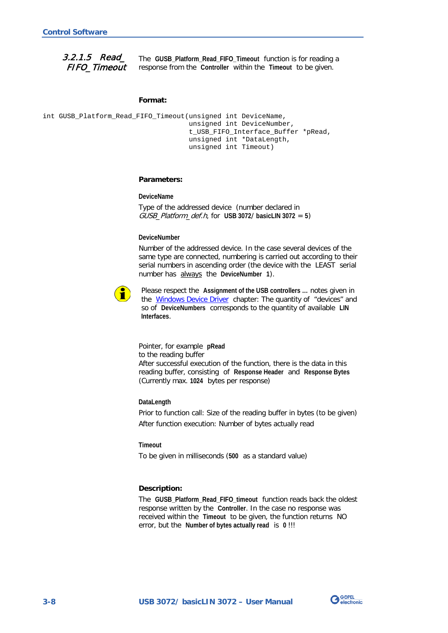<span id="page-25-0"></span>3.2.1.5 Read\_ FIFO\_Timeout

<span id="page-25-1"></span>The **GUSB\_Platform\_Read\_FIFO\_Timeout** function is for reading a response from the **Controller** within the **Timeout** to be given.

#### **Format:**

```
int GUSB Platform Read FIFO Timeout(unsigned int DeviceName,
                         unsigned int DeviceNumber,
                        t_USB_FIFO_Interface_Buffer *pRead,
                        unsigned int *DataLength,
                        unsigned int Timeout)
```
#### **Parameters:**

**DeviceName**

Type of the addressed device (number declared in GUSB\_Platform\_def.h, for **USB 3072**/ **basicLIN 3072** = **5**)

#### **DeviceNumber**

Number of the addressed device. In the case several devices of the same type are connected, numbering is carried out according to their serial numbers in ascending order (the device with the LEAST serial number has always the **DeviceNumber 1**).



Please respect the **Assignment of the USB controllers …** notes given in the [Windows Device Driver](#page-19-0) chapter: The quantity of "devices" and so of **DeviceNumbers** corresponds to the quantity of available **LIN Interfaces**.

Pointer, for example **pRead** to the reading buffer After successful execution of the function, there is the data in this reading buffer, consisting of **Response Header** and **Response Bytes** (Currently max. **1024** bytes per response)

#### **DataLength**

Prior to function call: Size of the reading buffer in bytes (to be given) After function execution: Number of bytes actually read

#### **Timeout**

To be given in milliseconds (**500** as a standard value)

#### **Description:**

The **GUSB\_Platform\_Read\_FIFO\_timeout** function reads back the oldest response written by the **Controller**. In the case no response was received within the **Timeout** to be given, the function returns NO error, but the **Number of bytes actually read** is **0** !!!

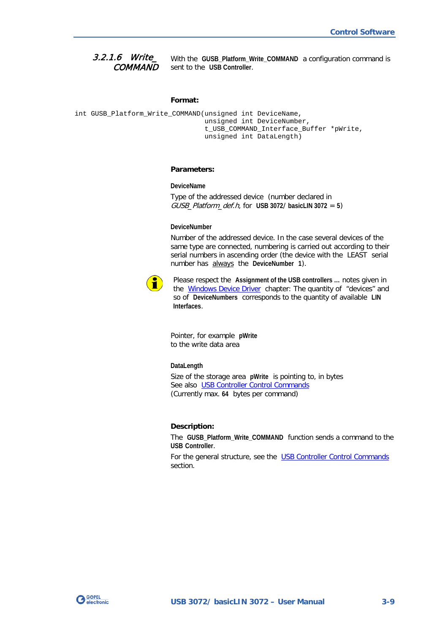<span id="page-26-0"></span>With the **GUSB\_Platform\_Write\_COMMAND** a configuration command is sent to the **USB Controller**. 3.2.1.6 Write\_ **COMMAND** 

#### <span id="page-26-1"></span>**Format:**

```
int GUSB_Platform_Write_COMMAND(unsigned int DeviceName,
                     unsigned int DeviceNumber,
                    t_USB_COMMAND_Interface_Buffer *pWrite,
                    unsigned int DataLength)
```
#### **Parameters:**

**DeviceName**

Type of the addressed device (number declared in GUSB\_Platform\_def.h, for **USB 3072**/ **basicLIN 3072** = **5**)

#### **DeviceNumber**

Number of the addressed device. In the case several devices of the same type are connected, numbering is carried out according to their serial numbers in ascending order (the device with the LEAST serial number has always the **DeviceNumber 1**).



Please respect the **Assignment of the USB controllers …** notes given in the [Windows Device Driver](#page-19-0) chapter: The quantity of "devices" and so of **DeviceNumbers** corresponds to the quantity of available **LIN Interfaces**.

Pointer, for example **pWrite** to the write data area

#### **DataLength**

Size of the storage area **pWrite** is pointing to, in bytes See also USB Controller Control Commands (Currently max. **64** bytes per command)

#### **Description:**

The **GUSB\_Platform\_Write\_COMMAND** function sends a command to the **USB Controller**.

For the general structure, see the USB Controller Control Commands section.

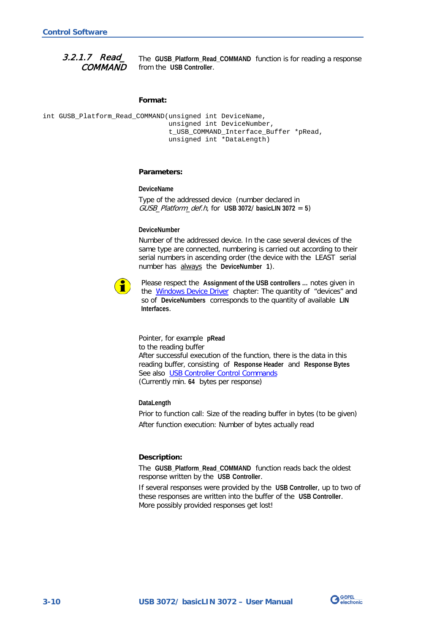<span id="page-27-0"></span>The **GUSB\_Platform\_Read\_COMMAND** function is for reading a response from the **USB Controller**. 3.2.1.7 Read\_ **COMMAND** 

#### <span id="page-27-1"></span>**Format:**

int GUSB\_Platform\_Read\_COMMAND(unsigned int DeviceName, unsigned int DeviceNumber, t\_USB\_COMMAND\_Interface\_Buffer \*pRead, unsigned int \*DataLength)

#### **Parameters:**

**DeviceName**

Type of the addressed device (number declared in GUSB\_Platform\_def.h, for **USB 3072**/ **basicLIN 3072** = **5**)

#### **DeviceNumber**

Number of the addressed device. In the case several devices of the same type are connected, numbering is carried out according to their serial numbers in ascending order (the device with the LEAST serial number has always the **DeviceNumber 1**).



Please respect the **Assignment of the USB controllers …** notes given in the [Windows Device Driver](#page-19-0) chapter: The quantity of "devices" and so of **DeviceNumbers** corresponds to the quantity of available **LIN Interfaces**.

Pointer, for example **pRead** to the reading buffer After successful execution of the function, there is the data in this reading buffer, consisting of **Response Header** and **Response Bytes** See also USB Controller Control Commands (Currently min. **64** bytes per response)

#### **DataLength**

Prior to function call: Size of the reading buffer in bytes (to be given) After function execution: Number of bytes actually read

#### **Description:**

The GUSB Platform Read COMMAND function reads back the oldest response written by the **USB Controller**.

If several responses were provided by the **USB Controller**, up to two of these responses are written into the buffer of the **USB Controller**. More possibly provided responses get lost!

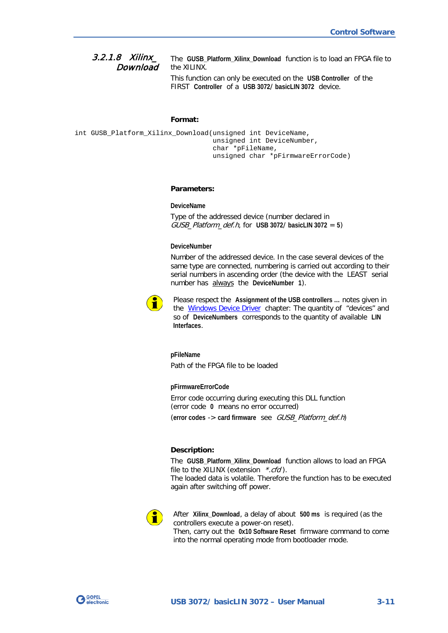<span id="page-28-0"></span>The **GUSB\_Platform\_Xilinx\_Download** function is to load an FPGA file to the XILINX. This function can only be executed on the **USB Controller** of the 3.2.1.8 Xilinx\_ Download

<span id="page-28-1"></span>FIRST **Controller** of a **USB 3072**/ **basicLIN 3072** device.

#### **Format:**

int GUSB\_Platform\_Xilinx\_Download(unsigned int DeviceName, unsigned int DeviceNumber, char \*pFileName, unsigned char \*pFirmwareErrorCode)

#### **Parameters:**

#### **DeviceName**

Type of the addressed device (number declared in GUSB\_Platform\_def.h, for **USB 3072**/ **basicLIN 3072** = **5**)

#### **DeviceNumber**

Number of the addressed device. In the case several devices of the same type are connected, numbering is carried out according to their serial numbers in ascending order (the device with the LEAST serial number has always the **DeviceNumber 1**).



Please respect the **Assignment of the USB controllers …** notes given in the [Windows Device Driver](#page-19-0) chapter: The quantity of "devices" and so of **DeviceNumbers** corresponds to the quantity of available **LIN Interfaces**.

**pFileName** Path of the FPGA file to be loaded

**pFirmwareErrorCode**

Error code occurring during executing this DLL function (error code **0** means no error occurred) (**error codes** -> **card firmware** see GUSB\_Platform\_def.h)

#### **Description:**

The **GUSB\_Platform\_Xilinx\_Download** function allows to load an FPGA file to the XILINX (extension  $*{c}td$ ). The loaded data is volatile. Therefore the function has to be executed again after switching off power.



After **Xilinx\_Download**, a delay of about **500 ms** is required (as the controllers execute a power-on reset). Then, carry out the **0x10 Software Reset** firmware command to come into the normal operating mode from bootloader mode.

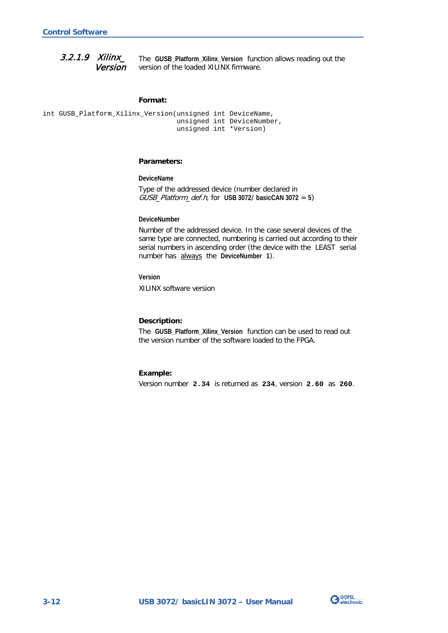<span id="page-29-0"></span>The **GUSB\_Platform\_Xilinx\_Version** function allows reading out the version of the loaded XILINX firmware. 3.2.1.9 Xilinx\_ Version

#### <span id="page-29-1"></span>**Format:**

```
int GUSB_Platform_Xilinx_Version(unsigned int DeviceName,
                      unsigned int DeviceNumber,
                     unsigned int *Version)
```
#### **Parameters:**

**DeviceName**

Type of the addressed device (number declared in GUSB\_Platform\_def.h, for **USB 3072**/ **basicCAN 3072** = **5**)

#### **DeviceNumber**

Number of the addressed device. In the case several devices of the same type are connected, numbering is carried out according to their serial numbers in ascending order (the device with the LEAST serial number has always the **DeviceNumber 1**).

**Version**

XILINX software version

#### **Description:**

The **GUSB\_Platform\_Xilinx\_Version** function can be used to read out the version number of the software loaded to the FPGA.

#### **Example:**

Version number **2.34** is returned as **234**, version **2.60** as **260**.

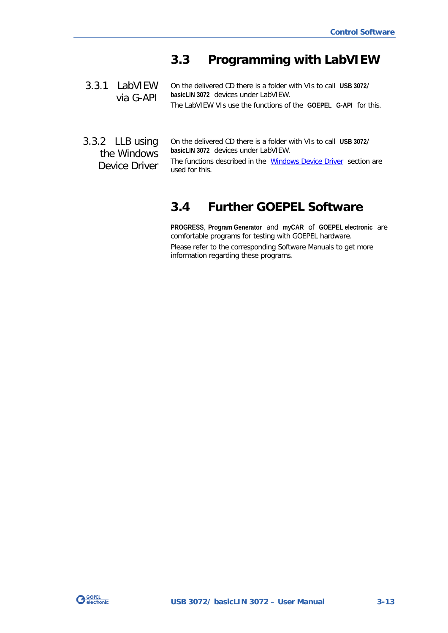# <span id="page-30-4"></span><span id="page-30-0"></span>**3.3 Programming with LabVIEW**

- <span id="page-30-1"></span>On the delivered CD there is a folder with VIs to call **USB 3072**/ **basicLIN 3072** devices under LabVIEW. The LabVIEW VIs use the functions of the **GOEPEL G-API** for this. 3.3.1 LabVIEW via G-API
- <span id="page-30-2"></span>On the delivered CD there is a folder with VIs to call **USB 3072**/ **basicLIN 3072** devices under LabVIEW. The functions described in the [Windows Device Driver](#page-19-0) section are used for this. 3.3.2 LLB using the Windows Device Driver

# <span id="page-30-3"></span>**3.4 Further GOEPEL Software**

**PROGRESS**, **Program Generator** and **myCAR** of **GOEPEL electronic** are comfortable programs for testing with GOEPEL hardware. Please refer to the corresponding Software Manuals to get more information regarding these programs**.**

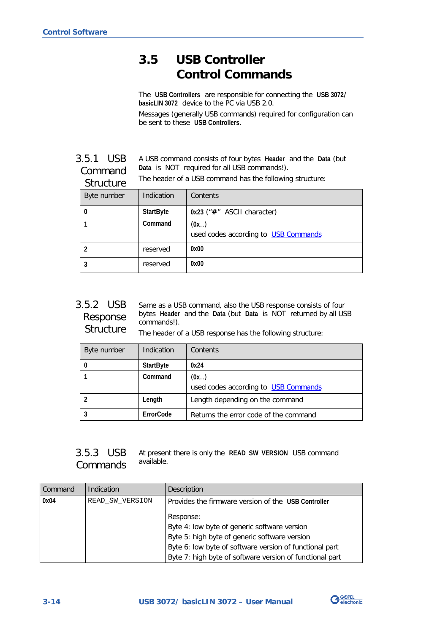# <span id="page-31-4"></span><span id="page-31-0"></span>**3.5 USB Controller Control Commands**

The **USB Controllers** are responsible for connecting the **USB 3072**/ **basicLIN 3072** device to the PC via USB 2.0.

Messages (generally USB commands) required for configuration can be sent to these **USB Controllers**.

<span id="page-31-1"></span>A USB command consists of four bytes **Header** and the **Data** (but **Data** is NOT required for all USB commands!). The header of a USB command has the following structure: 3.5.1 USB Command Structure

| ou uviui v  |                  |                                              |
|-------------|------------------|----------------------------------------------|
| Byte number | Indication       | Contents                                     |
| 0           | <b>StartByte</b> | $0x23$ (" $#$ " ASCII character)             |
|             | Command          | (0x)<br>used codes according to USB Commands |
| 2           | reserved         | 0x00                                         |
| 3           | reserved         | 0x00                                         |

<span id="page-31-2"></span>Same as a USB command, also the USB response consists of four bytes **Header** and the **Data** (but **Data** is NOT returned by all USB commands!). 3.5.2 USB Response **Structure** 

The header of a USB response has the following structure:

| Byte number | Indication       | Contents                                     |
|-------------|------------------|----------------------------------------------|
|             | <b>StartByte</b> | 0x24                                         |
|             | Command          | (0x)<br>used codes according to USB Commands |
|             |                  |                                              |
|             | Length           | Length depending on the command              |
|             | ErrorCode        | Returns the error code of the command        |

<span id="page-31-3"></span>

|  | 3.5.3 USB At present there is only the READ_SW_VERSION USB command |  |
|--|--------------------------------------------------------------------|--|
|  | Commands available.                                                |  |

| Command | Indication      | Description                                              |
|---------|-----------------|----------------------------------------------------------|
| 0x04    | READ SW VERSION | Provides the firmware version of the USB Controller      |
|         |                 | Response:                                                |
|         |                 | Byte 4: low byte of generic software version             |
|         |                 | Byte 5: high byte of generic software version            |
|         |                 | Byte 6: low byte of software version of functional part  |
|         |                 | Byte 7: high byte of software version of functional part |